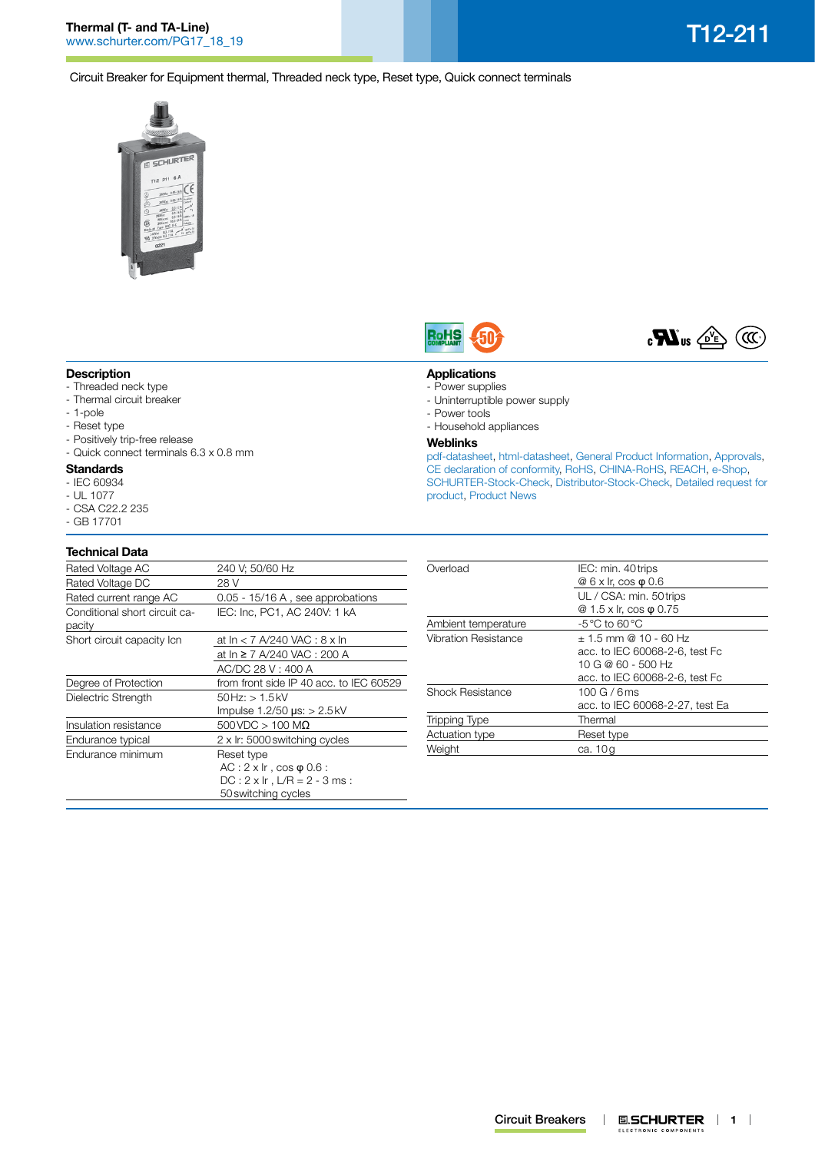**Thermal (T- and TA-Line)** Thermal (T- and TA-Line)<br>[www.schurter.com/PG17\\_18\\_19](http://www.schurter.com/PG17_18_19) T12-211

Circuit Breaker for Equipment thermal, Threaded neck type, Reset type, Quick connect terminals





**Applications** - Power supplies

- Power tools

**Weblinks**

- Uninterruptible power supply

- Household appliances

[product,](http://www.schurter.com/en/Contacts/Contact-Form?type=T12-211) [Product News](http://www.schurter.ch/products/product_news.asp?sge=circuit_breakers_for_equipment)



### **Description**

- Threaded neck type
- Thermal circuit breaker
- 1-pole
- Reset type
- Positively trip-free release
- Quick connect terminals 6.3 x 0.8 mm

#### **Standards**

- IEC 60934
- UL 1077
- CSA C22.2 235
- GB 17701

# **Technical Data**

| 240 V; 50/60 Hz                         |
|-----------------------------------------|
| 28 V                                    |
| $0.05 - 15/16$ A, see approbations      |
| IEC: Inc, PC1, AC 240V: 1 kA            |
| at $\ln$ < 7 A/240 VAC : 8 x $\ln$      |
| at In ≥ 7 A/240 VAC : 200 A             |
| AC/DC 28 V : 400 A                      |
| from front side IP 40 acc. to IEC 60529 |
| $50$ Hz: $> 1.5$ kV                     |
| Impulse $1.2/50$ $\mu$ s: $> 2.5$ kV    |
| $500$ VDC $> 100$ M $\Omega$            |
| 2 x Ir: 5000 switching cycles           |
| Reset type                              |
| $AC: 2 \times Ir$ , $cos \varphi 0.6$ : |
| $DC: 2 \times Ir$ , $L/R = 2 - 3 ms:$   |
| 50 switching cycles                     |
|                                         |

| Overload             | IEC: min. 40 trips                |  |  |  |
|----------------------|-----------------------------------|--|--|--|
|                      | $@6 \times$ Ir, cos $\varphi$ 0.6 |  |  |  |
|                      | UL / CSA: min. 50 trips           |  |  |  |
|                      | @ 1.5 x lr, cos $\varphi$ 0.75    |  |  |  |
| Ambient temperature  | $-5^{\circ}$ C to 60 $^{\circ}$ C |  |  |  |
| Vibration Resistance | $+1.5$ mm @ 10 - 60 Hz            |  |  |  |
|                      | acc. to IEC 60068-2-6, test Fc    |  |  |  |
|                      | 10 G @ 60 - 500 Hz                |  |  |  |
|                      | acc. to IEC 60068-2-6, test Fc    |  |  |  |
| Shock Resistance     | 100G/6ms                          |  |  |  |
|                      | acc. to IEC 60068-2-27, test Ea   |  |  |  |
| <b>Tripping Type</b> | Thermal                           |  |  |  |
| Actuation type       | Reset type                        |  |  |  |
| Weight               | ca. 10g                           |  |  |  |
|                      |                                   |  |  |  |

[pdf-datasheet](http://www.schurter.ch/pdf/english/typ_T12-211.pdf), [html-datasheet](http://www.schurter.ch/en/datasheet/T12-211), [General Product Information,](http://www.schurter.ch/products/cbe_general_info.asp) [Approvals](http://www.schurter.ch/en/Documents-References/Approvals/(id)/T12-211), [CE declaration of conformity,](http://www.schurter.com/en/Documents-References/Approvals/(id)/T12-211+AND+FIELD+CertificationInstitute=SAG) [RoHS](http://www.schurter.ch/company/rohs.asp), [CHINA-RoHS](http://www.schurter.ch/company/china_rohs.asp), [REACH,](http://www.schurter.ch/company/reach.asp) [e-Shop,](http://www.schurter.ch/en/datasheet/T12-211#Anker_Variants) [SCHURTER-Stock-Check,](https://sapportal.schurter.ch:8083/sap/bc/webdynpro/sap/zzep_stock_check?MAKTX=T12-211*&COM_QTY=1&AUTOSEARCH=true) [Distributor-Stock-Check](http://www.schurter.com/en/Stock-Check/Stock-Check-Distributor?partnumber1=T12-211), [Detailed request for](http://www.schurter.com/en/Contacts/Contact-Form?type=T12-211)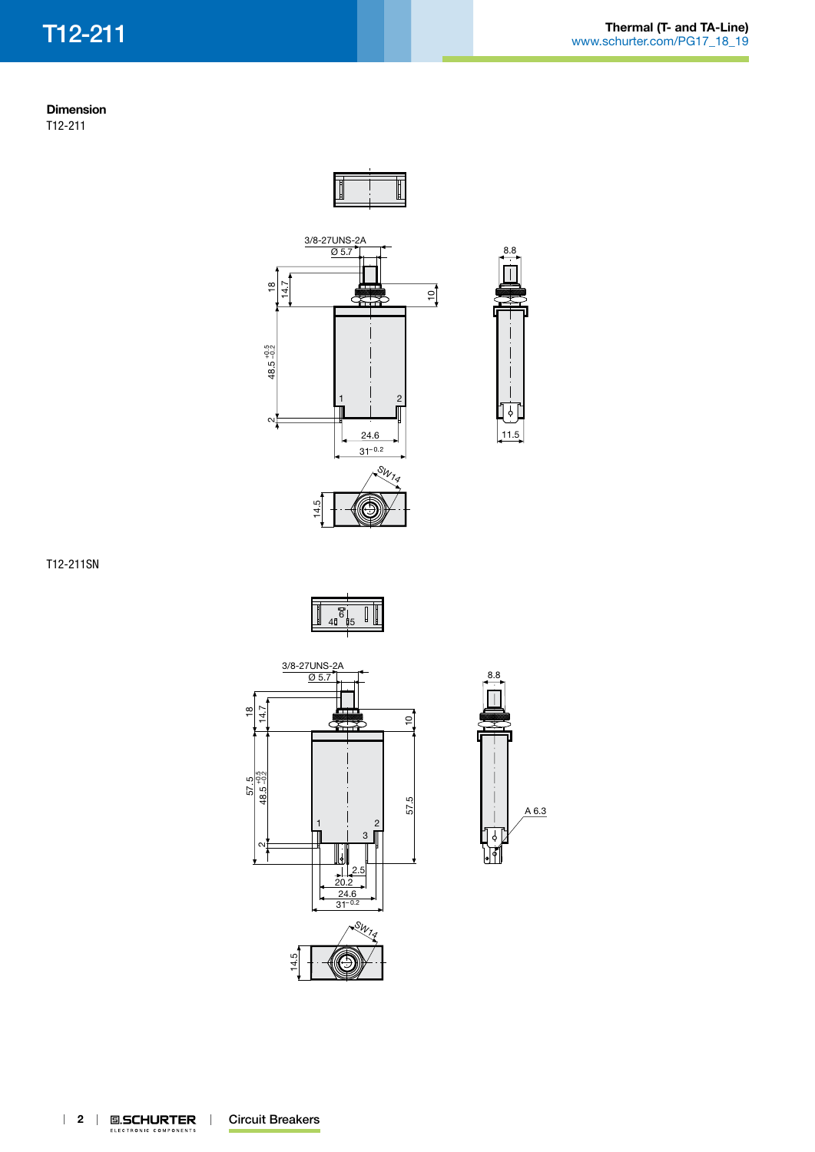## **Dimension** T12-211





T12-211SN







11.5

׀֘<sup>֛</sup>׀׀

8.8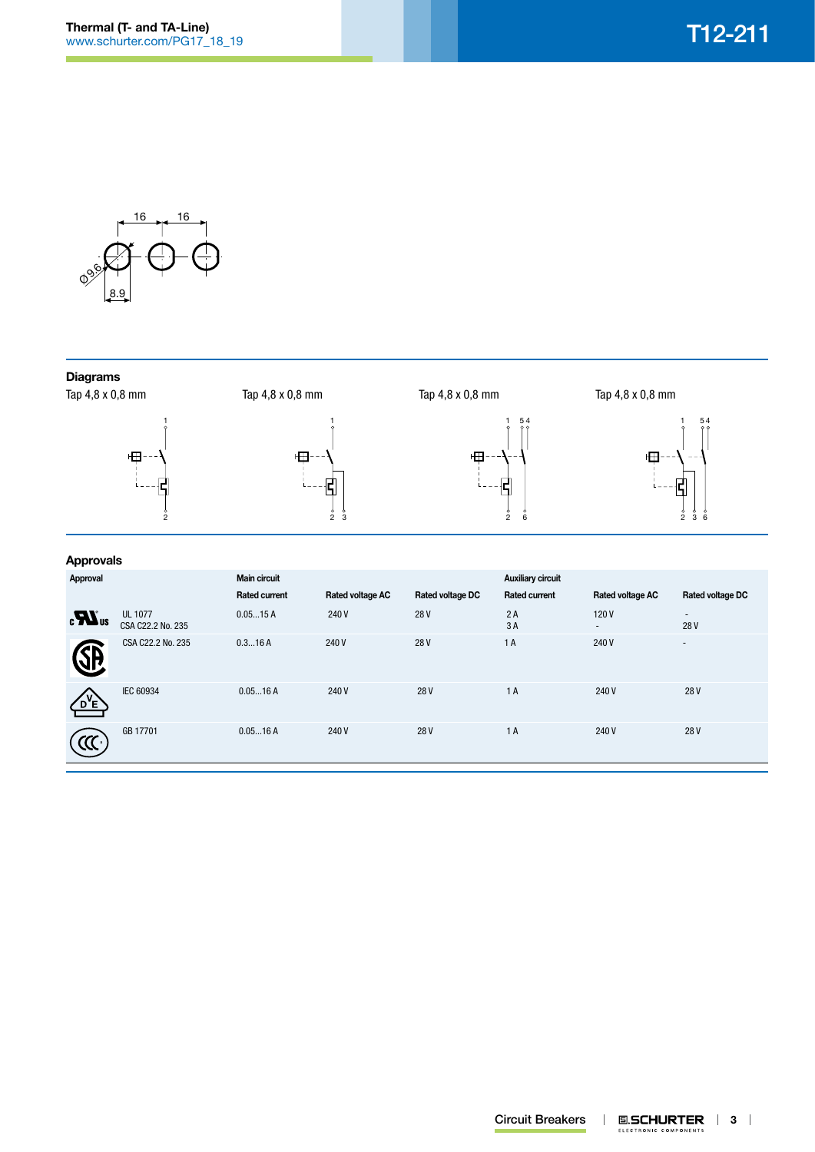

# **Diagrams**

Tap 4,8 x 0,8 mm





Tap 4,8 x 0,8 mm

 $\frac{5}{2}$  3

1 田

 $\frac{1}{2}$ 

5 4

Tap 4,8 x 0,8 mm

Tap 4,8 x 0,8 mm



5

6

## **Approvals**

| .<br>Approval                  |                                     | <b>Main circuit</b>  |                         |                  | <b>Auxiliary circuit</b> |                                  |                          |
|--------------------------------|-------------------------------------|----------------------|-------------------------|------------------|--------------------------|----------------------------------|--------------------------|
|                                |                                     | <b>Rated current</b> | <b>Rated voltage AC</b> | Rated voltage DC | <b>Rated current</b>     | Rated voltage AC                 | Rated voltage DC         |
| $\boldsymbol{H}$ <sub>us</sub> | <b>UL 1077</b><br>CSA C22.2 No. 235 | 0.0515A              | 240 V                   | 28V              | 2A<br>3A                 | 120V<br>$\overline{\phantom{a}}$ | ٠<br>28V                 |
| 3P                             | CSA C22.2 No. 235                   | 0.316A               | 240V                    | 28V              | 1A                       | 240V                             | $\overline{\phantom{a}}$ |
| $D^{\prime}E$                  | <b>IEC 60934</b>                    | 0.0516A              | 240 V                   | 28V              | 1 A                      | 240V                             | 28V                      |
|                                | GB 17701                            | 0.0516A              | 240 V                   | 28V              | 1A                       | 240 V                            | 28V                      |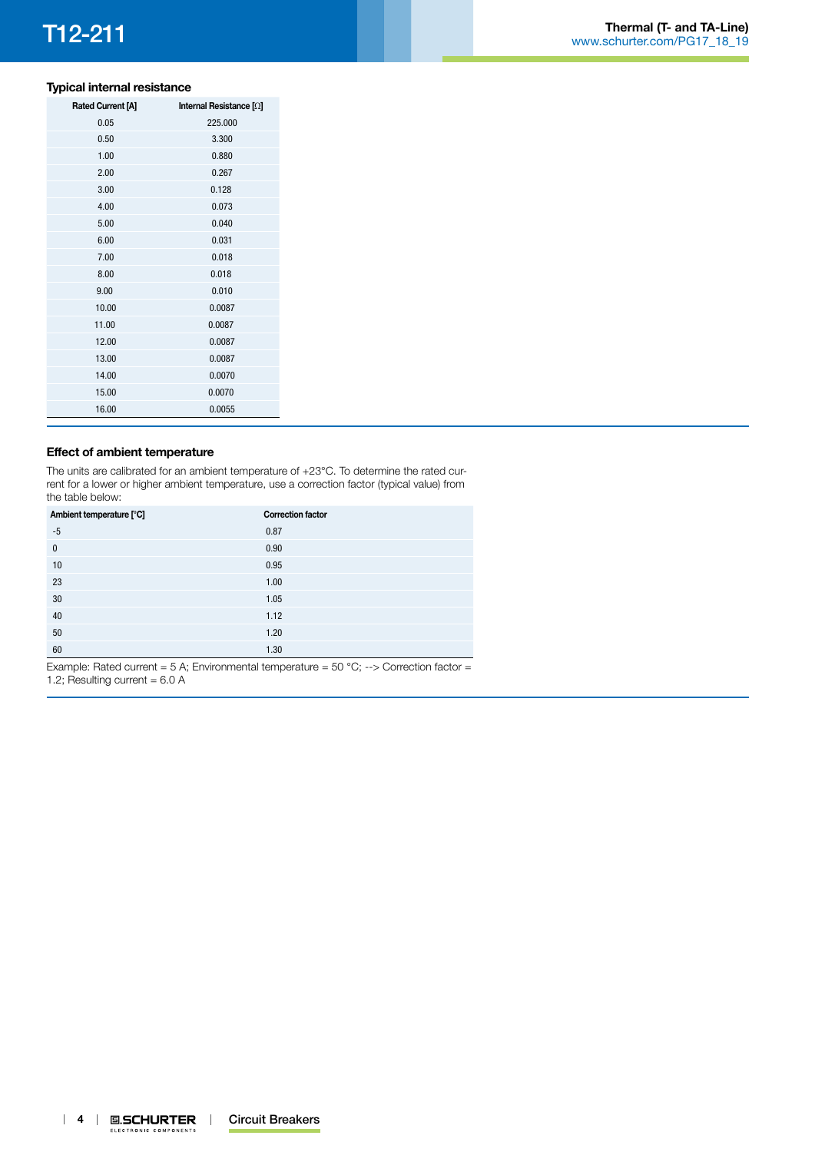# **Typical internal resistance**

| <b>Rated Current [A]</b> | Internal Resistance [2] |
|--------------------------|-------------------------|
| 0.05                     | 225.000                 |
| 0.50                     | 3.300                   |
| 1.00                     | 0.880                   |
| 2.00                     | 0.267                   |
| 3.00                     | 0.128                   |
| 4.00                     | 0.073                   |
| 5.00                     | 0.040                   |
| 6.00                     | 0.031                   |
| 7.00                     | 0.018                   |
| 8.00                     | 0.018                   |
| 9.00                     | 0.010                   |
| 10.00                    | 0.0087                  |
| 11.00                    | 0.0087                  |
| 12.00                    | 0.0087                  |
| 13.00                    | 0.0087                  |
| 14.00                    | 0.0070                  |
| 15.00                    | 0.0070                  |
| 16.00                    | 0.0055                  |

### **Effect of ambient temperature**

The units are calibrated for an ambient temperature of +23°C. To determine the rated current for a lower or higher ambient temperature, use a correction factor (typical value) from the table below:

| Ambient temperature [°C] | <b>Correction factor</b> |
|--------------------------|--------------------------|
| $-5$                     | 0.87                     |
| $\mathbf{0}$             | 0.90                     |
| 10                       | 0.95                     |
| 23                       | 1.00                     |
| 30                       | 1.05                     |
| 40                       | 1.12                     |
| 50                       | 1.20                     |
| 60                       | 1.30                     |

Example: Rated current = 5 A; Environmental temperature = 50 °C; --> Correction factor = 1.2; Resulting current =  $6.0 \text{ A}$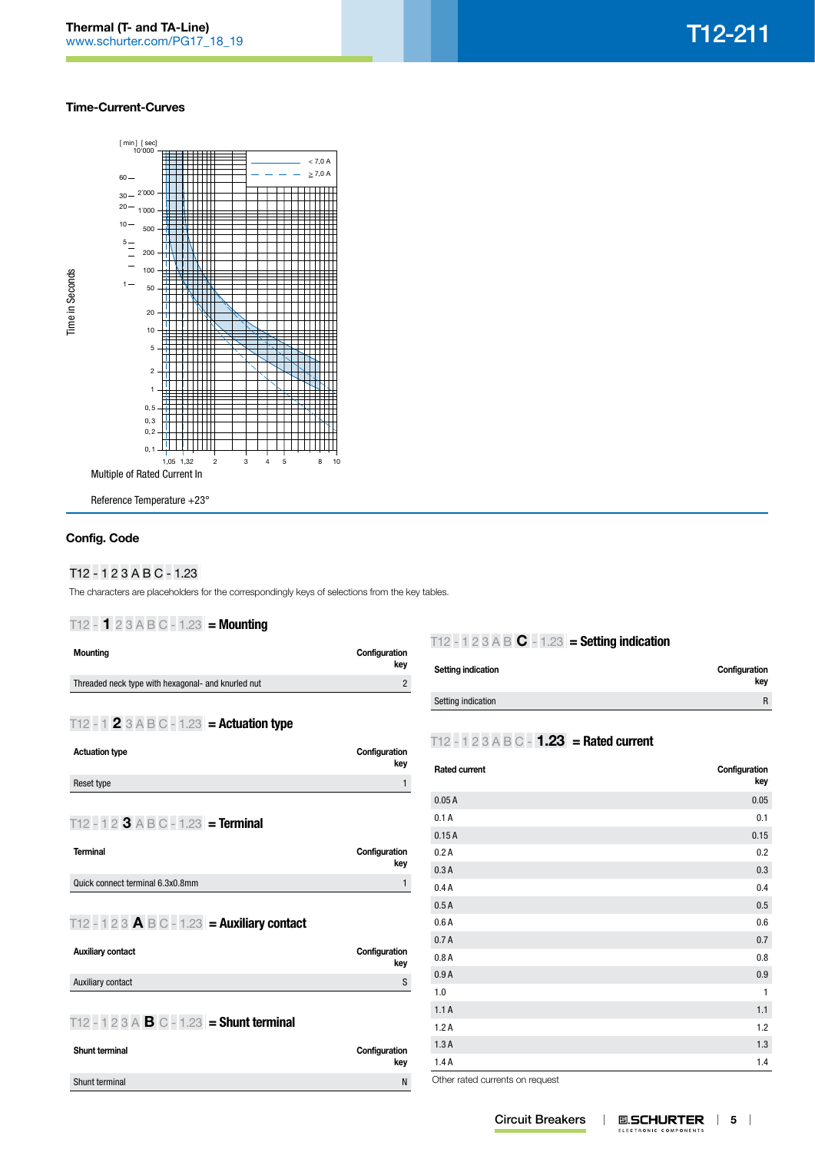### **Time-Current-Curves**



# **Config. Code**

### T12**|**-**|**1**|**2**|**3**|**A**|**B**|**C**|**-**|**1.23**|**

The characters are placeholders for the correspondingly keys of selections from the key tables.

## T12**|**-**|1|**2**|**3**|**A**|**B**|**C**|**-**|**1.23**|** = Mounting

| <b>Mounting</b>                                                                               | Configuration<br>key |
|-----------------------------------------------------------------------------------------------|----------------------|
| Threaded neck type with hexagonal- and knurled nut                                            | $\overline{2}$       |
| T12 - 1 2 3 A B C - 1.23 = Actuation type                                                     |                      |
| <b>Actuation type</b>                                                                         | Configuration<br>key |
| Reset type                                                                                    | 1                    |
| T12 - 1 2 3 A B C - 1.23 = Terminal                                                           |                      |
| <b>Terminal</b>                                                                               | Configuration<br>key |
| Quick connect terminal 6.3x0.8mm                                                              | $\mathbf{1}$         |
| T12 - 1 2 3 $\textsf{A} \text{ } \textsf{B} \text{ } \textsf{C}$ - 1.23 $=$ Auxiliary contact |                      |
| <b>Auxiliary contact</b>                                                                      | Configuration<br>key |
| Auxiliary contact                                                                             | S                    |
| T12 - 1 2 3 A $\bf{B}$ C - 1.23 = Shunt terminal                                              |                      |

| <b>Shunt terminal</b> | Configuration<br>key |
|-----------------------|----------------------|
| Shunt terminal        | Ν                    |
|                       |                      |

# T12**|**-**|**1**|**2**|**3**|**A**|**B**|C|**-**|**1.23**|** = Setting indication

| Setting indication | Configuration<br>kev |
|--------------------|----------------------|
| Setting indication | R                    |

# T12**|**-**|**1**|**2**|**3**|**A**|**B**|**C**|**-**|1.23|** = Rated current

| <b>Rated current</b> | Configuration<br>key |
|----------------------|----------------------|
| 0.05A                | 0.05                 |
| 0.1A                 | 0.1                  |
| 0.15A                | 0.15                 |
| 0.2A                 | 0.2                  |
| 0.3A                 | 0.3                  |
| 0.4A                 | 0.4                  |
| 0.5A                 | 0.5                  |
| 0.6A                 | 0.6                  |
| 0.7A                 | 0.7                  |
| 0.8A                 | 0.8                  |
| 0.9A                 | 0.9                  |
| 1.0                  | $\mathbf{1}$         |
| 1.1A                 | 1.1                  |
| 1.2A                 | 1.2                  |
| 1.3A                 | 1.3                  |
| 1.4A                 | 1.4                  |

Other rated currents on request